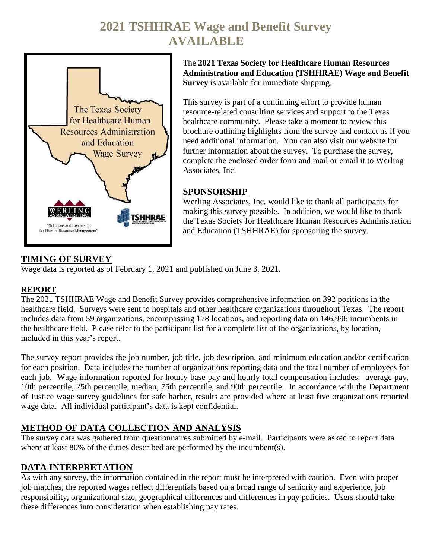# **2021 TSHHRAE Wage and Benefit Survey AVAILABLE**



The **2021 Texas Society for Healthcare Human Resources Administration and Education (TSHHRAE) Wage and Benefit Survey** is available for immediate shipping.

This survey is part of a continuing effort to provide human resource-related consulting services and support to the Texas healthcare community. Please take a moment to review this brochure outlining highlights from the survey and contact us if you need additional information. You can also visit our website for further information about the survey. To purchase the survey, complete the enclosed order form and mail or email it to Werling Associates, Inc.

#### **SPONSORSHIP**

Werling Associates, Inc. would like to thank all participants for making this survey possible. In addition, we would like to thank the Texas Society for Healthcare Human Resources Administration and Education (TSHHRAE) for sponsoring the survey.

### **TIMING OF SURVEY**

Wage data is reported as of February 1, 2021 and published on June 3, 2021.

#### **REPORT**

The 2021 TSHHRAE Wage and Benefit Survey provides comprehensive information on 392 positions in the healthcare field. Surveys were sent to hospitals and other healthcare organizations throughout Texas. The report includes data from 59 organizations, encompassing 178 locations, and reporting data on 146,996 incumbents in the healthcare field. Please refer to the participant list for a complete list of the organizations, by location, included in this year's report.

The survey report provides the job number, job title, job description, and minimum education and/or certification for each position. Data includes the number of organizations reporting data and the total number of employees for each job. Wage information reported for hourly base pay and hourly total compensation includes: average pay, 10th percentile, 25th percentile, median, 75th percentile, and 90th percentile. In accordance with the Department of Justice wage survey guidelines for safe harbor, results are provided where at least five organizations reported wage data. All individual participant's data is kept confidential.

#### **METHOD OF DATA COLLECTION AND ANALYSIS**

The survey data was gathered from questionnaires submitted by e-mail. Participants were asked to report data where at least 80% of the duties described are performed by the incumbent(s).

## **DATA INTERPRETATION**

As with any survey, the information contained in the report must be interpreted with caution. Even with proper job matches, the reported wages reflect differentials based on a broad range of seniority and experience, job responsibility, organizational size, geographical differences and differences in pay policies. Users should take these differences into consideration when establishing pay rates.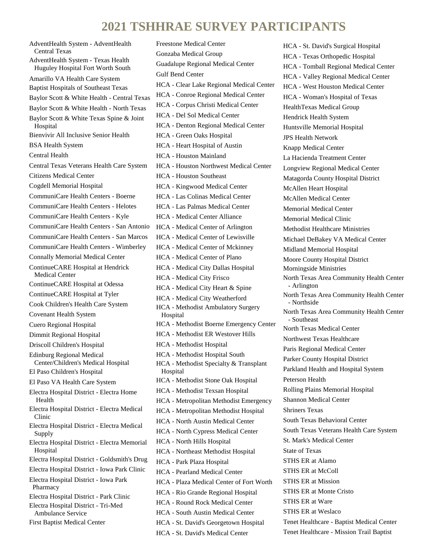## **2021 TSHHRAE SURVEY PARTICIPANTS**

AdventHealth System - AdventHealth Central Texas AdventHealth System - Texas Health Huguley Hospital Fort Worth South Amarillo VA Health Care System Baptist Hospitals of Southeast Texas Baylor Scott & White Health - Central Texas Baylor Scott & White Health - North Texas Baylor Scott & White Texas Spine & Joint Hospital Bienvivir All Inclusive Senior Health BSA Health System Central Health Central Texas Veterans Health Care System Citizens Medical Center Cogdell Memorial Hospital CommuniCare Health Centers - Boerne CommuniCare Health Centers - Helotes CommuniCare Health Centers - Kyle CommuniCare Health Centers - San Antonio CommuniCare Health Centers - San Marcos CommuniCare Health Centers - Wimberley Connally Memorial Medical Center ContinueCARE Hospital at Hendrick Medical Center ContinueCARE Hospital at Odessa ContinueCARE Hospital at Tyler Cook Children's Health Care System Covenant Health System Cuero Regional Hospital Dimmit Regional Hospital Driscoll Children's Hospital Edinburg Regional Medical Center/Children's Medical Hospital El Paso Children's Hospital El Paso VA Health Care System Electra Hospital District - Electra Home Health Electra Hospital District - Electra Medical Clinic Electra Hospital District - Electra Medical Supply Electra Hospital District - Electra Memorial Hospital Electra Hospital District - Goldsmith's Drug Electra Hospital District - Iowa Park Clinic Electra Hospital District - Iowa Park Pharmacy Electra Hospital District - Park Clinic Electra Hospital District - Tri-Med Ambulance Service First Baptist Medical Center

Freestone Medical Center Gonzaba Medical Group Guadalupe Regional Medical Center Gulf Bend Center HCA - Clear Lake Regional Medical Center HCA - Conroe Regional Medical Center HCA - Corpus Christi Medical Center HCA - Del Sol Medical Center HCA - Denton Regional Medical Center HCA - Green Oaks Hospital HCA - Heart Hospital of Austin HCA - Houston Mainland HCA - Houston Northwest Medical Center HCA - Houston Southeast HCA - Kingwood Medical Center HCA - Las Colinas Medical Center HCA - Las Palmas Medical Center HCA - Medical Center Alliance HCA - Medical Center of Arlington HCA - Medical Center of Lewisville HCA - Medical Center of Mckinney HCA - Medical Center of Plano HCA - Medical City Dallas Hospital HCA - Medical City Frisco HCA - Medical City Heart & Spine HCA - Medical City Weatherford HCA - Methodist Ambulatory Surgery Hospital HCA - Methodist Boerne Emergency Center HCA - Methodist ER Westover Hills HCA - Methodist Hospital HCA - Methodist Hospital South HCA - Methodist Specialty & Transplant Hospital HCA - Methodist Stone Oak Hospital HCA - Methodist Texsan Hospital HCA - Metropolitan Methodist Emergency HCA - Metropolitan Methodist Hospital HCA - North Austin Medical Center HCA - North Cypress Medical Center HCA - North Hills Hospital HCA - Northeast Methodist Hospital HCA - Park Plaza Hospital HCA - Pearland Medical Center HCA - Plaza Medical Center of Fort Worth HCA - Rio Grande Regional Hospital HCA - Round Rock Medical Center HCA - South Austin Medical Center HCA - St. David's Georgetown Hospital

HCA - St. David's Medical Center

HCA - St. David's Surgical Hospital HCA - Texas Orthopedic Hospital HCA - Tomball Regional Medical Center HCA - Valley Regional Medical Center HCA - West Houston Medical Center HCA - Woman's Hospital of Texas HealthTexas Medical Group Hendrick Health System Huntsville Memorial Hospital JPS Health Network Knapp Medical Center La Hacienda Treatment Center Longview Regional Medical Center Matagorda County Hospital District McAllen Heart Hospital McAllen Medical Center Memorial Medical Center Memorial Medical Clinic Methodist Healthcare Ministries Michael DeBakey VA Medical Center Midland Memorial Hospital Moore County Hospital District Morningside Ministries North Texas Area Community Health Center - Arlington North Texas Area Community Health Center - Northside North Texas Area Community Health Center - Southeast North Texas Medical Center Northwest Texas Healthcare Paris Regional Medical Center Parker County Hospital District Parkland Health and Hospital System Peterson Health Rolling Plains Memorial Hospital Shannon Medical Center Shriners Texas South Texas Behavioral Center South Texas Veterans Health Care System St. Mark's Medical Center State of Texas STHS ER at Alamo STHS ER at McColl STHS ER at Mission STHS ER at Monte Cristo STHS ER at Ware STHS ER at Weslaco Tenet Healthcare - Baptist Medical Center Tenet Healthcare - Mission Trail Baptist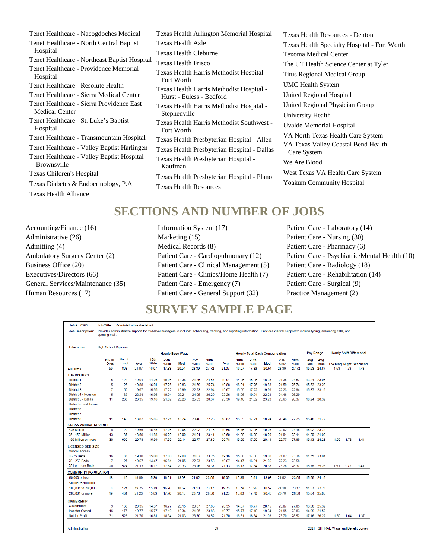Tenet Healthcare - Nacogdoches Medical Tenet Healthcare - North Central Baptist Hospital Tenet Healthcare - Northeast Baptist Hospital Tenet Healthcare - Providence Memorial Hospital Tenet Healthcare - Resolute Health Tenet Healthcare - Sierra Medical Center Tenet Healthcare - Sierra Providence East Medical Center Tenet Healthcare - St. Luke's Baptist Hospital Tenet Healthcare - Transmountain Hospital Tenet Healthcare - Valley Baptist Harlingen Tenet Healthcare - Valley Baptist Hospital Brownsville Texas Children's Hospital Texas Diabetes & Endocrinology, P.A. Texas Health Alliance

Texas Health Arlington Memorial Hospital Texas Health Azle Texas Health Cleburne Texas Health Frisco Texas Health Harris Methodist Hospital - Fort Worth Texas Health Harris Methodist Hospital - Hurst - Euless - Bedford Texas Health Harris Methodist Hospital - Stephenville Texas Health Harris Methodist Southwest - Fort Worth Texas Health Presbyterian Hospital - Allen Texas Health Presbyterian Hospital - Dallas Texas Health Presbyterian Hospital - Kaufman Texas Health Presbyterian Hospital - Plano Texas Health Resources

Texas Health Resources - Denton Texas Health Specialty Hospital - Fort Worth Texoma Medical Center The UT Health Science Center at Tyler Titus Regional Medical Group UMC Health System United Regional Hospital United Regional Physician Group University Health Uvalde Memorial Hospital VA North Texas Health Care System VA Texas Valley Coastal Bend Health Care System We Are Blood West Texas VA Health Care System Yoakum Community Hospital

## **SECTIONS AND NUMBER OF JOBS**

Accounting/Finance (16) Administrative (26) Admitting (4) Ambulatory Surgery Center (2) Business Office (20) Executives/Directors (66) General Services/Maintenance (35) Human Resources (17)

Information System (17) Marketing (15) Medical Records (8) Patient Care - Cardiopulmonary (12) Patient Care - Clinical Management (5) Patient Care - Clinics/Home Health (7) Patient Care - Emergency (7) Patient Care - General Support (32)

Patient Care - Laboratory (14) Patient Care - Nursing (30) Patient Care - Pharmacy (6) Patient Care - Psychiatric/Mental Health (10) Patient Care - Radiology (18) Patient Care - Rehabilitation (14) Patient Care - Surgical (9) Practice Management (2)

## **SURVEY SAMPLE PAGE**

| Job #: 0300                                       | <b>Job Title:</b>                                                                                                                                                                                      | <b>Administrative Assistant</b> |       |               |               |                         |               |               |       |                           |               |                                       |               |               |            |             |      |      |                                      |
|---------------------------------------------------|--------------------------------------------------------------------------------------------------------------------------------------------------------------------------------------------------------|---------------------------------|-------|---------------|---------------|-------------------------|---------------|---------------|-------|---------------------------|---------------|---------------------------------------|---------------|---------------|------------|-------------|------|------|--------------------------------------|
| <b>Job Description:</b>                           | Provides administrative support for mid-level managers to include: scheduling, tracking, and reporting information. Provides clerical support to include typing, answering calls, and<br>opening mail. |                                 |       |               |               |                         |               |               |       |                           |               |                                       |               |               |            |             |      |      |                                      |
| <b>Education:</b>                                 | <b>High School Diploma</b>                                                                                                                                                                             |                                 |       |               |               |                         |               |               |       |                           |               |                                       |               |               |            |             |      |      |                                      |
|                                                   |                                                                                                                                                                                                        |                                 |       |               |               | <b>Hourly Base Wage</b> |               |               |       |                           |               | <b>Hourly Total Cash Compensation</b> |               |               | Pay Range  |             |      |      | <b>Hourly Shift Differential</b>     |
|                                                   | No. of<br>Oras                                                                                                                                                                                         | No. of<br><b>Empl</b>           | Avg   | 10th<br>%tile | 25th<br>%tile | Med                     | 75th<br>%tile | 90th<br>%tile | Avg   | 10 <sub>th</sub><br>%tile | 25th<br>%tile | Med                                   | 75th<br>%tile | 90th<br>%tile | Avg<br>Min | Avg<br>Max  |      |      | <b>Evening Night Weekend</b>         |
| <b>All Firms</b>                                  | 59                                                                                                                                                                                                     | 863                             | 21.07 | 16.07         | 17.83         | 20.54                   | 23.39         | 27.72         | 21.07 | 16.07                     | 17.83         | 20.54                                 | 23.39         | 27.72         | 15.93      | 24.87       | 1.53 | 1.73 | 1.43                                 |
| <b>THA DISTRICT</b>                               |                                                                                                                                                                                                        |                                 |       |               |               |                         |               |               |       |                           |               |                                       |               |               |            |             |      |      |                                      |
| <b>District 1</b>                                 | 5                                                                                                                                                                                                      | 128                             | 19.01 | 14.26         | 15.95         | 18.36                   | 21.36         | 24.57         | 19.01 | 14.26                     | 15.95         | 18.36                                 | 21.36         | 24.57         | 13.24      | 23.96       |      |      |                                      |
| District 2                                        | 5                                                                                                                                                                                                      | 26                              | 19.88 | 16.01         | 17.26         | 19.83                   | 21.59         | 25.74         | 19.88 | 16.01                     | 17.26         | 19.83                                 | 21.59         | 25.74         | 15.53      | 23.28       |      |      |                                      |
| District 3                                        | 7                                                                                                                                                                                                      | 50                              | 19.67 | 15.55         | 17.22         | 19.99                   | 22.23         | 22.94         | 19.67 | 15.55                     | 17.22         | 19.99                                 | 22.23         | 22.94         | 15.37      | 23.19       |      |      |                                      |
| District 4 - Houston                              | 5                                                                                                                                                                                                      | 32                              | 22.24 | 16.96         | 19.04         | 22.21                   | 24.05         | 26.29         | 22.26 | 16.96                     | 19.04         | 22.21                                 | 24.46         | 26.29         |            |             |      |      |                                      |
| District 5 - Dallas                               | 11                                                                                                                                                                                                     | 233                             | 23.35 | 19.16         | 21.02         | 23.23                   | 25.63         | 28.37         | 23.36 | 19.16                     | 21.02         | 23.23                                 | 25.63         | 28.37         |            | 18.24 28.32 |      |      |                                      |
| District - East Texas<br>District 6<br>District 7 |                                                                                                                                                                                                        |                                 |       |               |               |                         |               |               |       |                           |               |                                       |               |               |            |             |      |      |                                      |
| District 8                                        | 11                                                                                                                                                                                                     | 145                             | 18.82 | 15.85         | 17.21         | 18.24                   | 20.46         | 22.25         | 18.82 | 15.85                     | 17.21         | 18.24                                 | 20.46         | 22.25         |            | 15.48 21.72 |      |      |                                      |
| <b>GROSS ANNUAL REVENUE</b>                       |                                                                                                                                                                                                        |                                 |       |               |               |                         |               |               |       |                           |               |                                       |               |               |            |             |      |      |                                      |
| <25 Million                                       | 8                                                                                                                                                                                                      | 29                              | 19.66 | 15.45         | 17.05         | 19.05                   | 22.02         | 24.16         | 19.66 | 15.45                     | 17.05         | 19.05                                 | 22.02         | 24.16         | 16.02      | 23.78       |      |      |                                      |
| 25 - 150 Million                                  | 13                                                                                                                                                                                                     | 37                              | 18.69 | 14.88         | 16.29         | 18.00                   | 21.04         | 23.11         | 18.69 | 14.88                     | 16.29         | 18.00                                 | 21.04         | 23.11         | 14.20      | 21.99       |      |      |                                      |
| 150 Million or more                               | 30                                                                                                                                                                                                     | 660                             | 20.78 | 15.99         | 17.55         | 20.14                   | 22.77         | 27.85         | 20.78 | 15.99                     | 17.55         | 20.14                                 | 22.77         | 27.85         |            | 15.43 24.23 | 1.55 | 1.73 | 1.41                                 |
| <b>LICENSED BED SIZE</b>                          |                                                                                                                                                                                                        |                                 |       |               |               |                         |               |               |       |                           |               |                                       |               |               |            |             |      |      |                                      |
| <b>Critical Access</b>                            |                                                                                                                                                                                                        |                                 |       |               |               |                         |               |               |       |                           |               |                                       |               |               |            |             |      |      |                                      |
| $0 - 75$ Beds                                     | 16                                                                                                                                                                                                     | 83                              | 19.16 | 15.00         | 17.00         | 19.00                   | 21.02         | 23.26         | 19.16 | 15.00                     | 17.00         | 19.00                                 | 21.02         | 23.26         |            | 14.55 23.04 |      |      |                                      |
| 76 - 250 Beds                                     | 7                                                                                                                                                                                                      | 27                              | 19.67 | 14.47         | 16.81         | 21.05                   | 22.23         | 23.58         | 19.67 | 14.47                     | 16.81         | 21.05                                 | 22.23         | 23.58         |            |             |      |      |                                      |
| 251 or more Beds                                  | 20                                                                                                                                                                                                     | 524                             | 21.13 | 16.17         | 17.84         | 20.33                   | 23.26         | 28.37         | 21.13 | 16.17                     | 17.84         | 20.33                                 | 23.26         | 28.37         | 15.78      | 25.26       | 1.53 | 1.72 | 1.41                                 |
| <b>COMMUNITY POPULATION</b>                       |                                                                                                                                                                                                        |                                 |       |               |               |                         |               |               |       |                           |               |                                       |               |               |            |             |      |      |                                      |
| 50,000 or less                                    | 18                                                                                                                                                                                                     | 45                              | 19.09 | 15.36         | 16.91         | 18.98                   | 21.02         | 23.55         | 19.09 | 15.36                     | 16.91         | 18.98                                 | 21.02         | 23.55         |            | 15.99 24.19 |      |      |                                      |
| 50,001 to 100,000                                 |                                                                                                                                                                                                        |                                 |       |               |               |                         |               |               |       |                           |               |                                       |               |               |            |             |      |      |                                      |
| 100,001 to 200,000                                | 8                                                                                                                                                                                                      | 124                             | 19.25 | 15.79         | 16.96         | 18.59                   | 21.10         | 23.17         | 19.25 | 15.79                     | 16.96         | 18.59                                 | 21.10         | 23.17         | 14.57      | 22.23       |      |      |                                      |
| 200,001 or more                                   | 19                                                                                                                                                                                                     | 431                             | 21.23 | 15.83         | 17.70         | 20.46                   | 23.70         | 28.50         | 21.23 | 15.83                     | 17.70         | 20.46                                 | 23.70         | 28.50         |            | 15.64 25.05 |      |      |                                      |
|                                                   |                                                                                                                                                                                                        |                                 |       |               |               |                         |               |               |       |                           |               |                                       |               |               |            |             |      |      |                                      |
| <b>OWNERSHIP</b><br>Government                    | 9                                                                                                                                                                                                      | 160                             | 20.35 | 14.37         | 16.77         | 20.15                   | 23.07         | 27.85         | 20.35 | 14.37                     | 16.77         | 20.15                                 | 23.07         | 27.85         | 13.98      | 25.32       |      |      |                                      |
| <b>Investor Owned</b>                             | 16                                                                                                                                                                                                     | 175                             | 19.77 | 15.77         | 17.10         | 19.34                   | 21.95         | 23.83         | 19.77 | 15.77                     | 17.10         | 19.34                                 | 21.95         | 23.83         | 14.99      | 21.52       |      |      |                                      |
| Not-for-Profit                                    | 31                                                                                                                                                                                                     | 523                             | 21.70 | 16.81         | 18.34         | 21.03                   | 23.70         | 28.52         | 21.70 | 16.81                     | 18.34         | 21.03                                 | 23.70         | 28.52         |            | 17.16 26.22 | 1.50 | 1.64 | 1.37                                 |
|                                                   |                                                                                                                                                                                                        |                                 |       |               |               |                         |               |               |       |                           |               |                                       |               |               |            |             |      |      |                                      |
| Administrative                                    |                                                                                                                                                                                                        |                                 |       |               |               |                         |               | 59            |       |                           |               |                                       |               |               |            |             |      |      | 2021 TSHHRAF Wage and Benefit Survey |